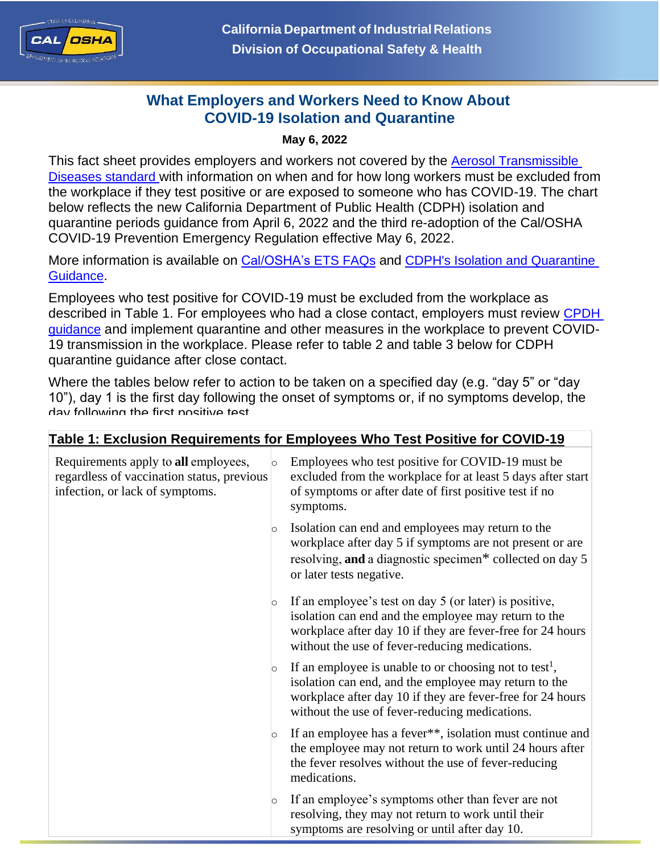

## **What Employers and Workers Need to Know About COVID-19 Isolation and Quarantine**

## **May 6, 2022**

This fact sheet provides employers and workers not covered by the Aerosol [Transmissible](https://www.dir.ca.gov/title8/5199.html) [Diseases](https://www.dir.ca.gov/title8/5199.html) [standard](https://www.dir.ca.gov/title8/5199.html) with information on when and for how long workers must be excluded from the workplace if they test positive or are exposed to someone who has COVID-19. The chart below reflects the new California Department of Public Health (CDPH) isolation and quarantine periods guidance from April 6, 2022 and the third re-adoption of the Cal/OSHA COVID-19 Prevention Emergency Regulation effective May 6, 2022.

More information is available on [Cal/OSHA's](https://www.dir.ca.gov/dosh/coronavirus/COVID19FAQs.html#iso) ETS FAQs and CDPH's Isolation and Quarantine [Guidance](https://www.cdph.ca.gov/Programs/CID/DCDC/Pages/COVID-19/Guidance-on-Isolation-and-Quarantine-for-COVID-19-Contact-Tracing.aspx).

Employees who test positive for COVID-19 must be excluded from the workplace as described in Table 1. For employees who had a close contact, employers must review CPDH guidance and implement quarantine and other measures in the workplace to prevent COVID-19 transmission in the workplace. Please refer to table 2 and table 3 below for CDPH quarantine guidance after close contact.

Where the tables below refer to action to be taken on a specified day (e.g. "day 5" or "day 10"), day 1 is the first day following the onset of symptoms or, if no symptoms develop, the day following the first positive test.

| Table 1: Exclusion Requirements for Employees Who Test Positive for COVID-19                                                     |  |                                                                                                                                                                                                                                             |  |
|----------------------------------------------------------------------------------------------------------------------------------|--|---------------------------------------------------------------------------------------------------------------------------------------------------------------------------------------------------------------------------------------------|--|
| Requirements apply to all employees,<br>$\circ$<br>regardless of vaccination status, previous<br>infection, or lack of symptoms. |  | Employees who test positive for COVID-19 must be<br>excluded from the workplace for at least 5 days after start<br>of symptoms or after date of first positive test if no<br>symptoms.                                                      |  |
| $\circ$                                                                                                                          |  | Isolation can end and employees may return to the<br>workplace after day 5 if symptoms are not present or are<br>resolving, and a diagnostic specimen* collected on day 5<br>or later tests negative.                                       |  |
| $\circ$                                                                                                                          |  | If an employee's test on day 5 (or later) is positive,<br>isolation can end and the employee may return to the<br>workplace after day 10 if they are fever-free for 24 hours<br>without the use of fever-reducing medications.              |  |
| O                                                                                                                                |  | If an employee is unable to or choosing not to test <sup>1</sup> ,<br>isolation can end, and the employee may return to the<br>workplace after day 10 if they are fever-free for 24 hours<br>without the use of fever-reducing medications. |  |
| $\circ$                                                                                                                          |  | If an employee has a fever**, isolation must continue and<br>the employee may not return to work until 24 hours after<br>the fever resolves without the use of fever-reducing<br>medications.                                               |  |
| $\circ$                                                                                                                          |  | If an employee's symptoms other than fever are not<br>resolving, they may not return to work until their<br>symptoms are resolving or until after day 10.                                                                                   |  |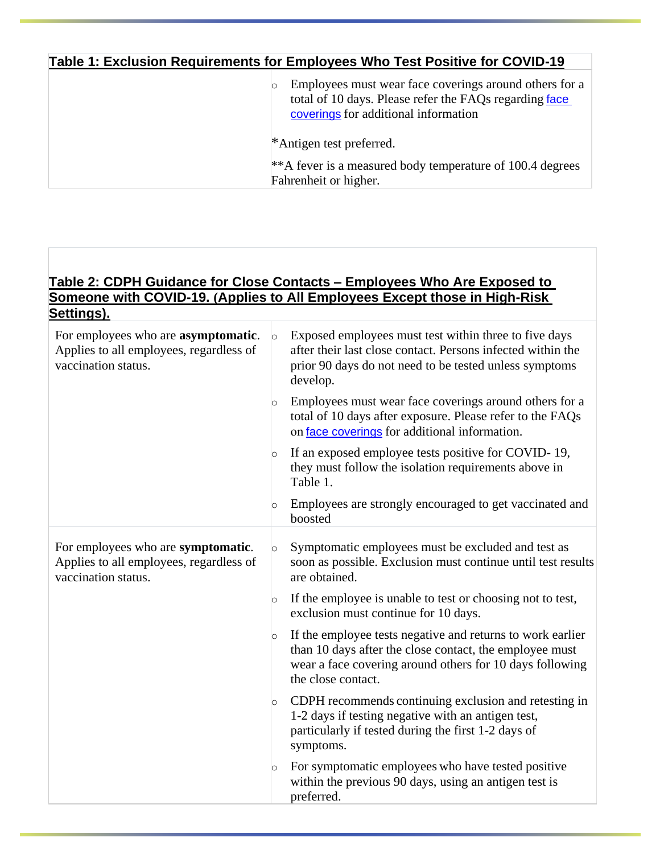## **Table 1: Exclusion Requirements for Employees Who Test Positive for COVID-19**

| Employees must wear face coverings around others for a<br>total of 10 days. Please refer the FAQs regarding face<br>coverings for additional information |
|----------------------------------------------------------------------------------------------------------------------------------------------------------|
| *Antigen test preferred.                                                                                                                                 |
| ** A fever is a measured body temperature of 100.4 degrees<br>Fahrenheit or higher.                                                                      |

### **Table 2: CDPH Guidance for Close Contacts – Employees Who Are Exposed to Someone with COVID-19. (Applies to All Employees Except those in High-Risk Settings).**

| For employees who are <b>asymptomatic</b> .<br>Applies to all employees, regardless of<br>vaccination status. | $\circ$ | Exposed employees must test within three to five days<br>after their last close contact. Persons infected within the<br>prior 90 days do not need to be tested unless symptoms<br>develop.              |
|---------------------------------------------------------------------------------------------------------------|---------|---------------------------------------------------------------------------------------------------------------------------------------------------------------------------------------------------------|
|                                                                                                               | $\circ$ | Employees must wear face coverings around others for a<br>total of 10 days after exposure. Please refer to the FAQs<br>on face coverings for additional information.                                    |
|                                                                                                               | $\circ$ | If an exposed employee tests positive for COVID-19,<br>they must follow the isolation requirements above in<br>Table 1.                                                                                 |
|                                                                                                               | $\circ$ | Employees are strongly encouraged to get vaccinated and<br>boosted                                                                                                                                      |
| For employees who are symptomatic.<br>Applies to all employees, regardless of<br>vaccination status.          | $\circ$ | Symptomatic employees must be excluded and test as<br>soon as possible. Exclusion must continue until test results<br>are obtained.                                                                     |
|                                                                                                               | $\circ$ | If the employee is unable to test or choosing not to test,<br>exclusion must continue for 10 days.                                                                                                      |
|                                                                                                               | $\circ$ | If the employee tests negative and returns to work earlier<br>than 10 days after the close contact, the employee must<br>wear a face covering around others for 10 days following<br>the close contact. |
|                                                                                                               | $\circ$ | CDPH recommends continuing exclusion and retesting in<br>1-2 days if testing negative with an antigen test,<br>particularly if tested during the first 1-2 days of<br>symptoms.                         |
|                                                                                                               | $\circ$ | For symptomatic employees who have tested positive<br>within the previous 90 days, using an antigen test is<br>preferred.                                                                               |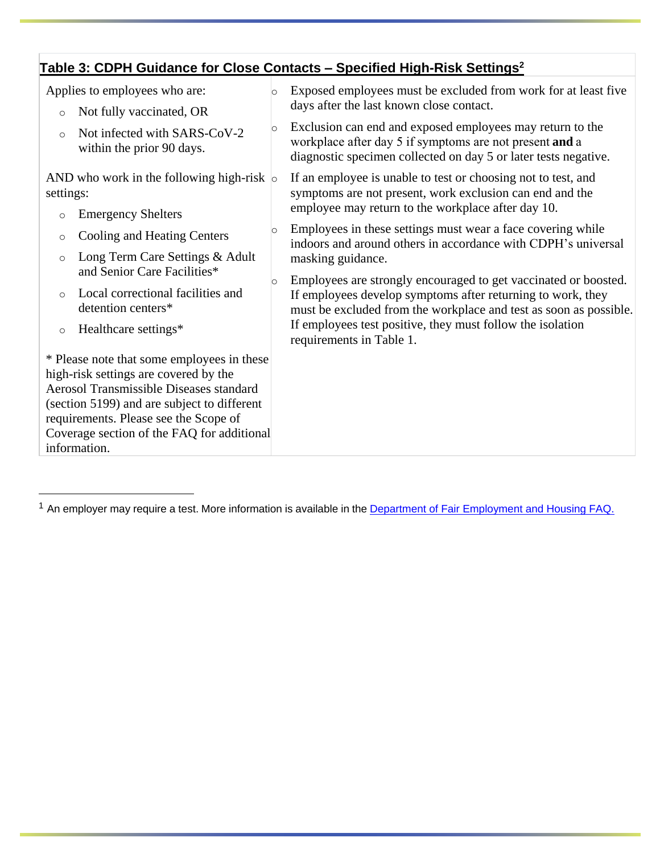# **Table 3: CDPH Guidance for Close Contacts – Specified High-Risk Settings<sup>2</sup>**

| Applies to employees who are:                                                                                                                                                                                                                                                               | Exposed employees must be excluded from work for at least five                                                                                                                                      |
|---------------------------------------------------------------------------------------------------------------------------------------------------------------------------------------------------------------------------------------------------------------------------------------------|-----------------------------------------------------------------------------------------------------------------------------------------------------------------------------------------------------|
| Not fully vaccinated, OR<br>$\circ$                                                                                                                                                                                                                                                         | days after the last known close contact.                                                                                                                                                            |
| $\circ$<br>Not infected with SARS-CoV-2<br>$\circ$<br>within the prior 90 days.                                                                                                                                                                                                             | Exclusion can end and exposed employees may return to the<br>workplace after day 5 if symptoms are not present and a<br>diagnostic specimen collected on day 5 or later tests negative.             |
| AND who work in the following high-risk $\circ$<br>settings:                                                                                                                                                                                                                                | If an employee is unable to test or choosing not to test, and<br>symptoms are not present, work exclusion can end and the<br>employee may return to the workplace after day 10.                     |
| <b>Emergency Shelters</b><br>$\circ$                                                                                                                                                                                                                                                        |                                                                                                                                                                                                     |
| $\circ$<br><b>Cooling and Heating Centers</b><br>$\circ$                                                                                                                                                                                                                                    | Employees in these settings must wear a face covering while<br>indoors and around others in accordance with CDPH's universal                                                                        |
| Long Term Care Settings & Adult<br>$\circ$<br>and Senior Care Facilities*                                                                                                                                                                                                                   | masking guidance.                                                                                                                                                                                   |
| $\circ$<br>Local correctional facilities and<br>$\circ$<br>detention centers*                                                                                                                                                                                                               | Employees are strongly encouraged to get vaccinated or boosted.<br>If employees develop symptoms after returning to work, they<br>must be excluded from the workplace and test as soon as possible. |
| Healthcare settings*<br>$\circ$                                                                                                                                                                                                                                                             | If employees test positive, they must follow the isolation<br>requirements in Table 1.                                                                                                              |
| * Please note that some employees in these<br>high-risk settings are covered by the<br><b>Aerosol Transmissible Diseases standard</b><br>(section 5199) and are subject to different<br>requirements. Please see the Scope of<br>Coverage section of the FAQ for additional<br>information. |                                                                                                                                                                                                     |

<sup>&</sup>lt;sup>1</sup> An employer may require a test. More information is available in the **Department of Fair [Employment](https://www.dfeh.ca.gov/wp-content/uploads/sites/32/2020/03/DFEH-Employment-Information-on-COVID-19-FAQ_ENG.pdf) and Housing FAQ**.